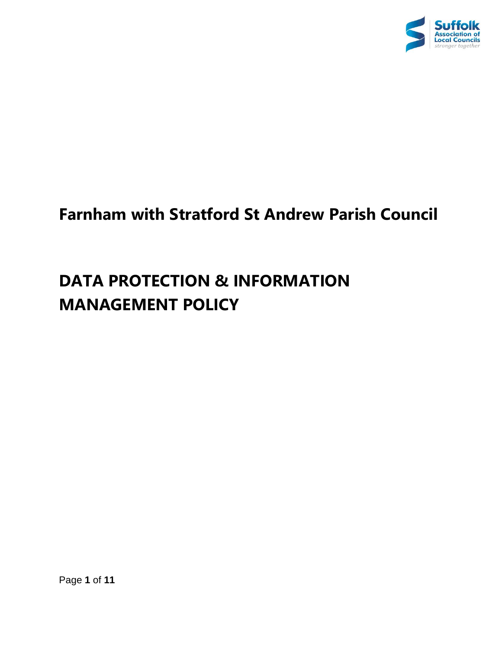

## **Farnham with Stratford St Andrew Parish Council**

# **DATA PROTECTION & INFORMATION MANAGEMENT POLICY**

Page **1** of **11**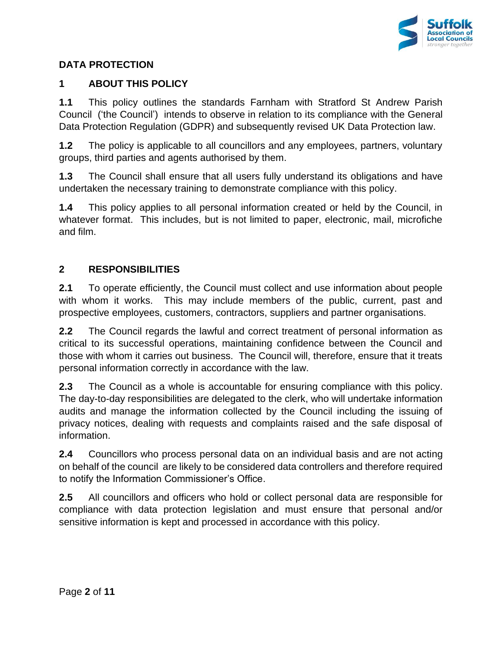

## **DATA PROTECTION**

#### **1 ABOUT THIS POLICY**

**1.1** This policy outlines the standards Farnham with Stratford St Andrew Parish Council ('the Council') intends to observe in relation to its compliance with the General Data Protection Regulation (GDPR) and subsequently revised UK Data Protection law.

**1.2** The policy is applicable to all councillors and any employees, partners, voluntary groups, third parties and agents authorised by them.

**1.3** The Council shall ensure that all users fully understand its obligations and have undertaken the necessary training to demonstrate compliance with this policy.

**1.4** This policy applies to all personal information created or held by the Council, in whatever format. This includes, but is not limited to paper, electronic, mail, microfiche and film.

## **2 RESPONSIBILITIES**

**2.1** To operate efficiently, the Council must collect and use information about people with whom it works. This may include members of the public, current, past and prospective employees, customers, contractors, suppliers and partner organisations.

**2.2** The Council regards the lawful and correct treatment of personal information as critical to its successful operations, maintaining confidence between the Council and those with whom it carries out business. The Council will, therefore, ensure that it treats personal information correctly in accordance with the law.

**2.3** The Council as a whole is accountable for ensuring compliance with this policy. The day-to-day responsibilities are delegated to the clerk, who will undertake information audits and manage the information collected by the Council including the issuing of privacy notices, dealing with requests and complaints raised and the safe disposal of information.

**2.4** Councillors who process personal data on an individual basis and are not acting on behalf of the council are likely to be considered data controllers and therefore required to notify the Information Commissioner's Office.

**2.5** All councillors and officers who hold or collect personal data are responsible for compliance with data protection legislation and must ensure that personal and/or sensitive information is kept and processed in accordance with this policy.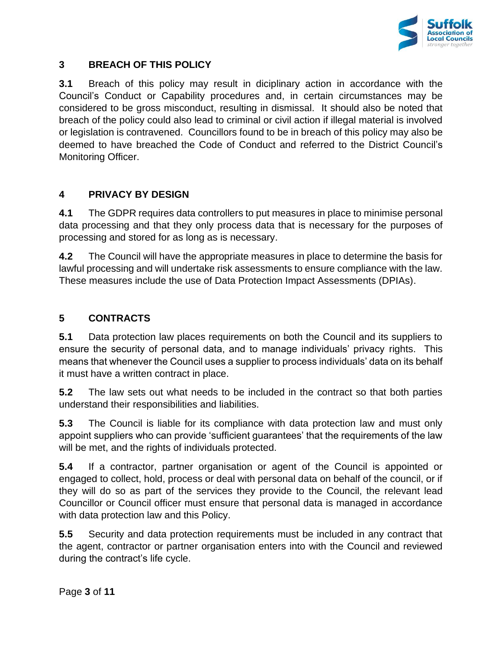

#### **3 BREACH OF THIS POLICY**

**3.1** Breach of this policy may result in diciplinary action in accordance with the Council's Conduct or Capability procedures and, in certain circumstances may be considered to be gross misconduct, resulting in dismissal. It should also be noted that breach of the policy could also lead to criminal or civil action if illegal material is involved or legislation is contravened. Councillors found to be in breach of this policy may also be deemed to have breached the Code of Conduct and referred to the District Council's Monitoring Officer.

## **4 PRIVACY BY DESIGN**

**4.1** The GDPR requires data controllers to put measures in place to minimise personal data processing and that they only process data that is necessary for the purposes of processing and stored for as long as is necessary.

**4.2** The Council will have the appropriate measures in place to determine the basis for lawful processing and will undertake risk assessments to ensure compliance with the law. These measures include the use of Data Protection Impact Assessments (DPIAs).

## **5 CONTRACTS**

**5.1** Data protection law places requirements on both the Council and its suppliers to ensure the security of personal data, and to manage individuals' privacy rights. This means that whenever the Council uses a supplier to process individuals' data on its behalf it must have a written contract in place.

**5.2** The law sets out what needs to be included in the contract so that both parties understand their responsibilities and liabilities.

**5.3** The Council is liable for its compliance with data protection law and must only appoint suppliers who can provide 'sufficient guarantees' that the requirements of the law will be met, and the rights of individuals protected.

**5.4** If a contractor, partner organisation or agent of the Council is appointed or engaged to collect, hold, process or deal with personal data on behalf of the council, or if they will do so as part of the services they provide to the Council, the relevant lead Councillor or Council officer must ensure that personal data is managed in accordance with data protection law and this Policy.

**5.5** Security and data protection requirements must be included in any contract that the agent, contractor or partner organisation enters into with the Council and reviewed during the contract's life cycle.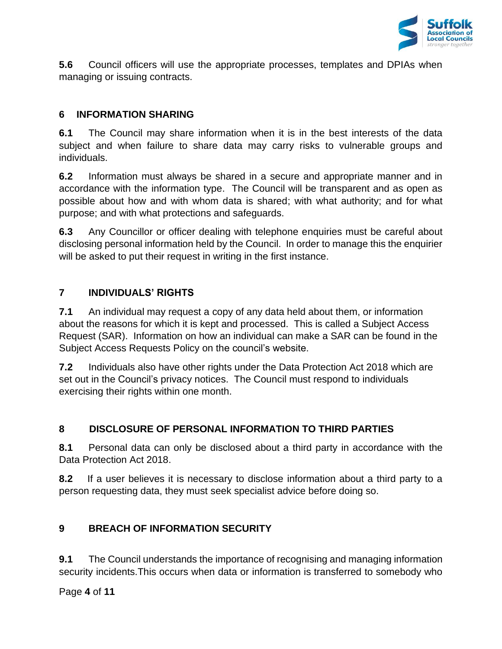

**5.6** Council officers will use the appropriate processes, templates and DPIAs when managing or issuing contracts.

## **6 INFORMATION SHARING**

**6.1** The Council may share information when it is in the best interests of the data subject and when failure to share data may carry risks to vulnerable groups and individuals.

**6.2** Information must always be shared in a secure and appropriate manner and in accordance with the information type. The Council will be transparent and as open as possible about how and with whom data is shared; with what authority; and for what purpose; and with what protections and safeguards.

**6.3** Any Councillor or officer dealing with telephone enquiries must be careful about disclosing personal information held by the Council. In order to manage this the enquirier will be asked to put their request in writing in the first instance.

## **7 INDIVIDUALS' RIGHTS**

**7.1** An individual may request a copy of any data held about them, or information about the reasons for which it is kept and processed. This is called a Subject Access Request (SAR). Information on how an individual can make a SAR can be found in the Subject Access Requests Policy on the council's website.

**7.2** Individuals also have other rights under the Data Protection Act 2018 which are set out in the Council's privacy notices. The Council must respond to individuals exercising their rights within one month.

## **8 DISCLOSURE OF PERSONAL INFORMATION TO THIRD PARTIES**

**8.1** Personal data can only be disclosed about a third party in accordance with the Data Protection Act 2018.

**8.2** If a user believes it is necessary to disclose information about a third party to a person requesting data, they must seek specialist advice before doing so.

## **9 BREACH OF INFORMATION SECURITY**

**9.1** The Council understands the importance of recognising and managing information security incidents.This occurs when data or information is transferred to somebody who

Page **4** of **11**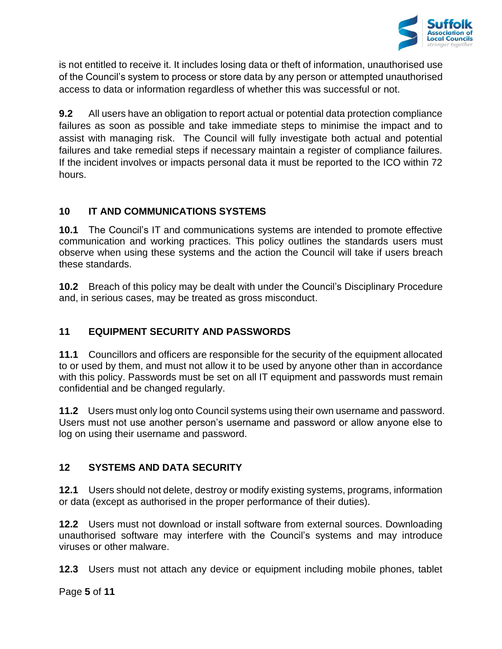

is not entitled to receive it. It includes losing data or theft of information, unauthorised use of the Council's system to process or store data by any person or attempted unauthorised access to data or information regardless of whether this was successful or not.

**9.2** All users have an obligation to report actual or potential data protection compliance failures as soon as possible and take immediate steps to minimise the impact and to assist with managing risk. The Council will fully investigate both actual and potential failures and take remedial steps if necessary maintain a register of compliance failures. If the incident involves or impacts personal data it must be reported to the ICO within 72 hours.

## **10 IT AND COMMUNICATIONS SYSTEMS**

**10.1** The Council's IT and communications systems are intended to promote effective communication and working practices. This policy outlines the standards users must observe when using these systems and the action the Council will take if users breach these standards.

**10.2** Breach of this policy may be dealt with under the Council's Disciplinary Procedure and, in serious cases, may be treated as gross misconduct.

## **11 EQUIPMENT SECURITY AND PASSWORDS**

**11.1** Councillors and officers are responsible for the security of the equipment allocated to or used by them, and must not allow it to be used by anyone other than in accordance with this policy. Passwords must be set on all IT equipment and passwords must remain confidential and be changed regularly.

**11.2** Users must only log onto Council systems using their own username and password. Users must not use another person's username and password or allow anyone else to log on using their username and password.

## **12 SYSTEMS AND DATA SECURITY**

**12.1** Users should not delete, destroy or modify existing systems, programs, information or data (except as authorised in the proper performance of their duties).

**12.2** Users must not download or install software from external sources. Downloading unauthorised software may interfere with the Council's systems and may introduce viruses or other malware.

**12.3** Users must not attach any device or equipment including mobile phones, tablet

Page **5** of **11**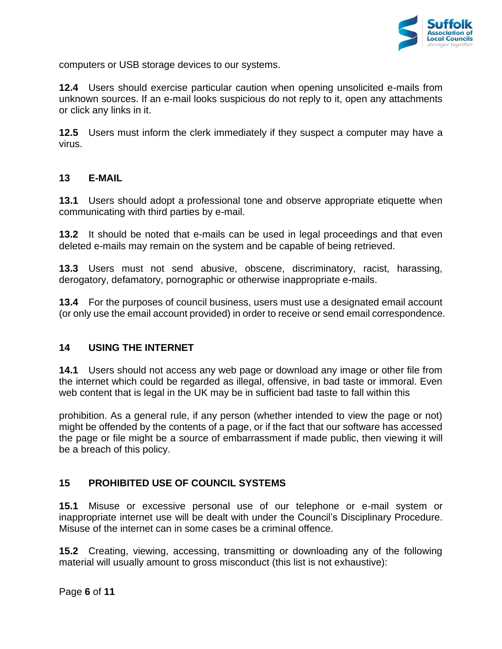

computers or USB storage devices to our systems.

**12.4** Users should exercise particular caution when opening unsolicited e-mails from unknown sources. If an e-mail looks suspicious do not reply to it, open any attachments or click any links in it.

**12.5** Users must inform the clerk immediately if they suspect a computer may have a virus.

#### **13 E-MAIL**

**13.1** Users should adopt a professional tone and observe appropriate etiquette when communicating with third parties by e-mail.

**13.2** It should be noted that e-mails can be used in legal proceedings and that even deleted e-mails may remain on the system and be capable of being retrieved.

**13.3** Users must not send abusive, obscene, discriminatory, racist, harassing, derogatory, defamatory, pornographic or otherwise inappropriate e-mails.

**13.4** For the purposes of council business, users must use a designated email account (or only use the email account provided) in order to receive or send email correspondence.

#### **14 USING THE INTERNET**

**14.1** Users should not access any web page or download any image or other file from the internet which could be regarded as illegal, offensive, in bad taste or immoral. Even web content that is legal in the UK may be in sufficient bad taste to fall within this

prohibition. As a general rule, if any person (whether intended to view the page or not) might be offended by the contents of a page, or if the fact that our software has accessed the page or file might be a source of embarrassment if made public, then viewing it will be a breach of this policy.

#### **15 PROHIBITED USE OF COUNCIL SYSTEMS**

**15.1** Misuse or excessive personal use of our telephone or e-mail system or inappropriate internet use will be dealt with under the Council's Disciplinary Procedure. Misuse of the internet can in some cases be a criminal offence.

**15.2** Creating, viewing, accessing, transmitting or downloading any of the following material will usually amount to gross misconduct (this list is not exhaustive):

Page **6** of **11**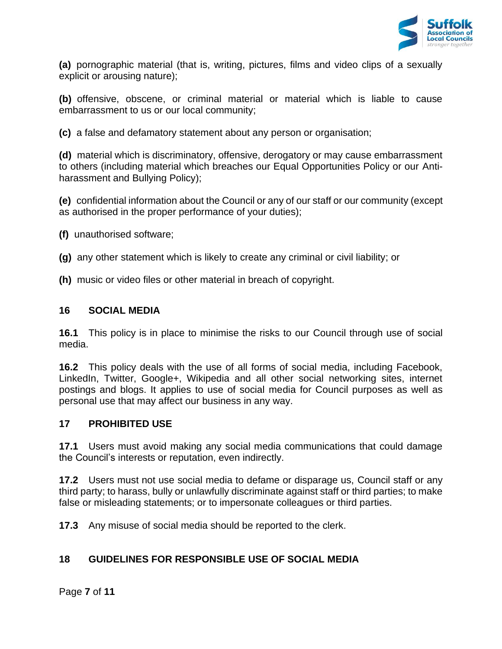

**(a)** pornographic material (that is, writing, pictures, films and video clips of a sexually explicit or arousing nature);

**(b)** offensive, obscene, or criminal material or material which is liable to cause embarrassment to us or our local community;

**(c)** a false and defamatory statement about any person or organisation;

**(d)** material which is discriminatory, offensive, derogatory or may cause embarrassment to others (including material which breaches our Equal Opportunities Policy or our Antiharassment and Bullying Policy);

**(e)** confidential information about the Council or any of our staff or our community (except as authorised in the proper performance of your duties);

- **(f)** unauthorised software;
- **(g)** any other statement which is likely to create any criminal or civil liability; or
- **(h)** music or video files or other material in breach of copyright.

#### **16 SOCIAL MEDIA**

**16.1** This policy is in place to minimise the risks to our Council through use of social media.

**16.2** This policy deals with the use of all forms of social media, including Facebook, LinkedIn, Twitter, Google+, Wikipedia and all other social networking sites, internet postings and blogs. It applies to use of social media for Council purposes as well as personal use that may affect our business in any way.

#### **17 PROHIBITED USE**

**17.1** Users must avoid making any social media communications that could damage the Council's interests or reputation, even indirectly.

**17.2** Users must not use social media to defame or disparage us, Council staff or any third party; to harass, bully or unlawfully discriminate against staff or third parties; to make false or misleading statements; or to impersonate colleagues or third parties.

**17.3** Any misuse of social media should be reported to the clerk.

## **18 GUIDELINES FOR RESPONSIBLE USE OF SOCIAL MEDIA**

Page **7** of **11**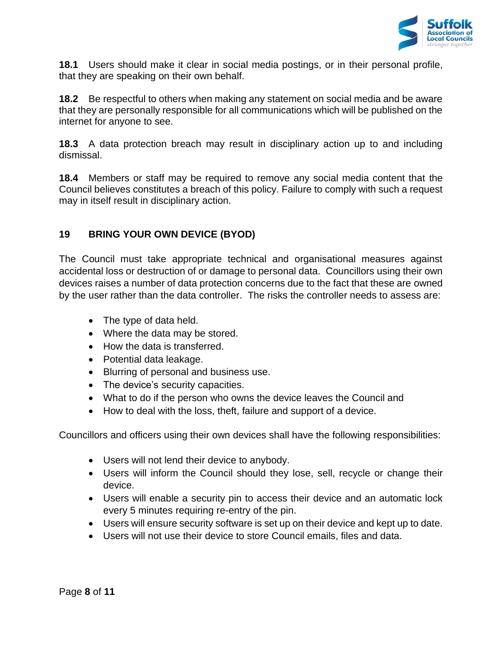

**18.1** Users should make it clear in social media postings, or in their personal profile, that they are speaking on their own behalf.

**18.2** Be respectful to others when making any statement on social media and be aware that they are personally responsible for all communications which will be published on the internet for anyone to see.

**18.3** A data protection breach may result in disciplinary action up to and including dismissal.

**18.4** Members or staff may be required to remove any social media content that the Council believes constitutes a breach of this policy. Failure to comply with such a request may in itself result in disciplinary action.

## **19 BRING YOUR OWN DEVICE (BYOD)**

The Council must take appropriate technical and organisational measures against accidental loss or destruction of or damage to personal data. Councillors using their own devices raises a number of data protection concerns due to the fact that these are owned by the user rather than the data controller. The risks the controller needs to assess are:

- The type of data held.
- Where the data may be stored.
- How the data is transferred.
- Potential data leakage.
- Blurring of personal and business use.
- The device's security capacities.
- What to do if the person who owns the device leaves the Council and
- How to deal with the loss, theft, failure and support of a device.

Councillors and officers using their own devices shall have the following responsibilities:

- Users will not lend their device to anybody.
- Users will inform the Council should they lose, sell, recycle or change their device.
- Users will enable a security pin to access their device and an automatic lock every 5 minutes requiring re-entry of the pin.
- Users will ensure security software is set up on their device and kept up to date.
- Users will not use their device to store Council emails, files and data.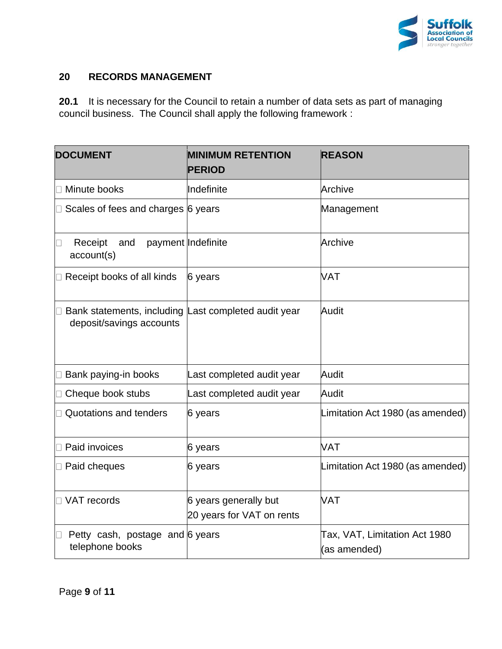

#### **20 RECORDS MANAGEMENT**

**20.1** It is necessary for the Council to retain a number of data sets as part of managing council business. The Council shall apply the following framework :

| <b>DOCUMENT</b>                                                                  | <b>MINIMUM RETENTION</b><br><b>PERIOD</b>          | <b>REASON</b>                                 |
|----------------------------------------------------------------------------------|----------------------------------------------------|-----------------------------------------------|
| Minute books                                                                     | Indefinite                                         | Archive                                       |
| Scales of fees and charges 6 years                                               |                                                    | Management                                    |
| Receipt<br>and<br>account(s)                                                     | payment Indefinite                                 | Archive                                       |
| Receipt books of all kinds                                                       | 6 years                                            | <b>VAT</b>                                    |
| Bank statements, including Last completed audit year<br>deposit/savings accounts |                                                    | Audit                                         |
| Bank paying-in books                                                             | Last completed audit year                          | Audit                                         |
| Cheque book stubs                                                                | Last completed audit year                          | Audit                                         |
| Quotations and tenders                                                           | 6 years                                            | Limitation Act 1980 (as amended)              |
| Paid invoices                                                                    | 6 years                                            | <b>VAT</b>                                    |
| □ Paid cheques                                                                   | 6 years                                            | Limitation Act 1980 (as amended)              |
| □ VAT records                                                                    | 6 years generally but<br>20 years for VAT on rents | VAT                                           |
| Petty cash, postage and 6 years<br>telephone books                               |                                                    | Tax, VAT, Limitation Act 1980<br>(as amended) |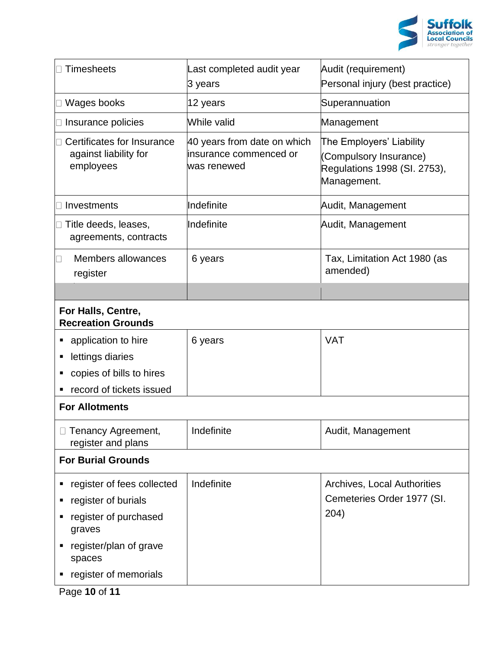

| <b>Timesheets</b>                                                | Last completed audit year<br>3 years                                  | Audit (requirement)<br>Personal injury (best practice)                                            |
|------------------------------------------------------------------|-----------------------------------------------------------------------|---------------------------------------------------------------------------------------------------|
| Wages books                                                      | 12 years                                                              | Superannuation                                                                                    |
| Insurance policies                                               | While valid                                                           | Management                                                                                        |
| Certificates for Insurance<br>against liability for<br>employees | 40 years from date on which<br>linsurance commenced or<br>was renewed | The Employers' Liability<br>(Compulsory Insurance)<br>Regulations 1998 (SI. 2753),<br>Management. |
| Investments                                                      | Indefinite                                                            | Audit, Management                                                                                 |
| Title deeds, leases,<br>agreements, contracts                    | Indefinite                                                            | Audit, Management                                                                                 |
| Members allowances<br>register                                   | 6 years                                                               | Tax, Limitation Act 1980 (as<br>amended)                                                          |
|                                                                  |                                                                       |                                                                                                   |
| For Halls, Centre,<br><b>Recreation Grounds</b>                  |                                                                       |                                                                                                   |
| application to hire                                              | 6 years                                                               | <b>VAT</b>                                                                                        |
| lettings diaries<br>п                                            |                                                                       |                                                                                                   |
| copies of bills to hires                                         |                                                                       |                                                                                                   |
| record of tickets issued                                         |                                                                       |                                                                                                   |
| <b>For Allotments</b>                                            |                                                                       |                                                                                                   |
| Tenancy Agreement,<br>register and plans                         | Indefinite                                                            | Audit, Management                                                                                 |
| <b>For Burial Grounds</b>                                        |                                                                       |                                                                                                   |
| register of fees collected                                       | Indefinite                                                            | Archives, Local Authorities                                                                       |
| register of burials                                              |                                                                       | Cemeteries Order 1977 (SI.                                                                        |
| register of purchased<br>graves                                  |                                                                       | 204)                                                                                              |
| register/plan of grave<br>spaces                                 |                                                                       |                                                                                                   |
| register of memorials                                            |                                                                       |                                                                                                   |

Page **10** of **11**